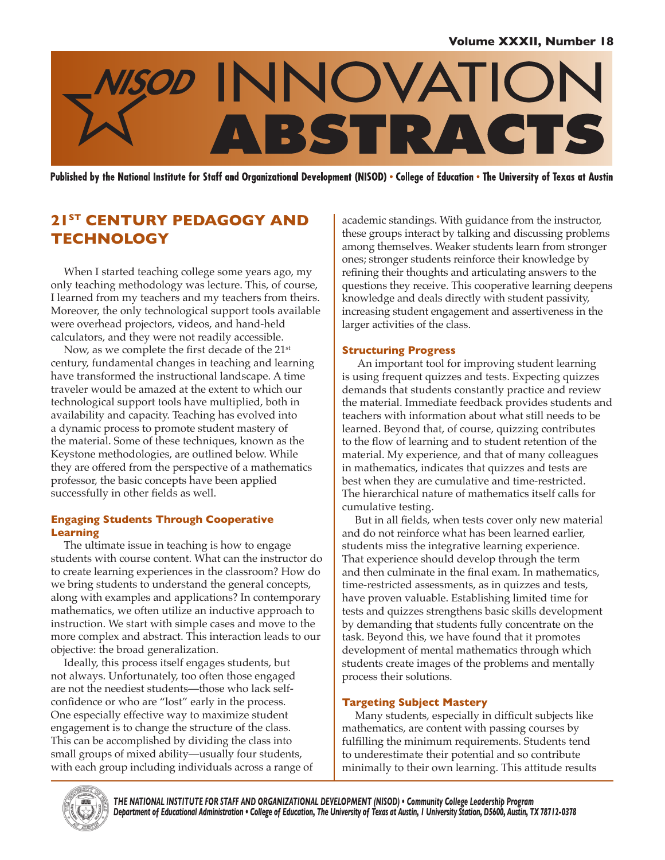

Published by the National Institute for Staff and Organizational Development (NISOD) • College of Education • The University of Texas at Austin

# **21st CENTURY PEDAGOGY AND TECHNOLOGY**

When I started teaching college some years ago, my only teaching methodology was lecture. This, of course, I learned from my teachers and my teachers from theirs. Moreover, the only technological support tools available were overhead projectors, videos, and hand-held calculators, and they were not readily accessible.

Now, as we complete the first decade of the 21<sup>st</sup> century, fundamental changes in teaching and learning have transformed the instructional landscape. A time traveler would be amazed at the extent to which our technological support tools have multiplied, both in availability and capacity. Teaching has evolved into a dynamic process to promote student mastery of the material. Some of these techniques, known as the Keystone methodologies, are outlined below. While they are offered from the perspective of a mathematics professor, the basic concepts have been applied successfully in other fields as well.

# **Engaging Students Through Cooperative Learning**

The ultimate issue in teaching is how to engage students with course content. What can the instructor do to create learning experiences in the classroom? How do we bring students to understand the general concepts, along with examples and applications? In contemporary mathematics, we often utilize an inductive approach to instruction. We start with simple cases and move to the more complex and abstract. This interaction leads to our objective: the broad generalization.

Ideally, this process itself engages students, but not always. Unfortunately, too often those engaged are not the neediest students—those who lack selfconfidence or who are "lost" early in the process. One especially effective way to maximize student engagement is to change the structure of the class. This can be accomplished by dividing the class into small groups of mixed ability—usually four students, with each group including individuals across a range of

academic standings. With guidance from the instructor, these groups interact by talking and discussing problems among themselves. Weaker students learn from stronger ones; stronger students reinforce their knowledge by refining their thoughts and articulating answers to the questions they receive. This cooperative learning deepens knowledge and deals directly with student passivity, increasing student engagement and assertiveness in the larger activities of the class.

## **Structuring Progress**

 An important tool for improving student learning is using frequent quizzes and tests. Expecting quizzes demands that students constantly practice and review the material. Immediate feedback provides students and teachers with information about what still needs to be learned. Beyond that, of course, quizzing contributes to the flow of learning and to student retention of the material. My experience, and that of many colleagues in mathematics, indicates that quizzes and tests are best when they are cumulative and time-restricted. The hierarchical nature of mathematics itself calls for cumulative testing.

But in all fields, when tests cover only new material and do not reinforce what has been learned earlier, students miss the integrative learning experience. That experience should develop through the term and then culminate in the final exam. In mathematics, time-restricted assessments, as in quizzes and tests, have proven valuable. Establishing limited time for tests and quizzes strengthens basic skills development by demanding that students fully concentrate on the task. Beyond this, we have found that it promotes development of mental mathematics through which students create images of the problems and mentally process their solutions.

# **Targeting Subject Mastery**

Many students, especially in difficult subjects like mathematics, are content with passing courses by fulfilling the minimum requirements. Students tend to underestimate their potential and so contribute minimally to their own learning. This attitude results